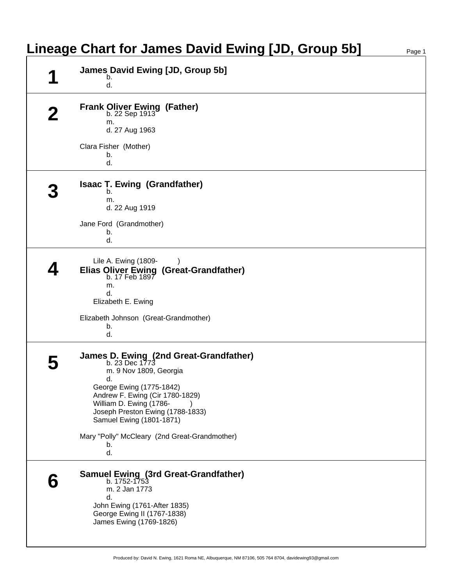| <b>Lineage Chart for James David Ewing [JD, Group 5b]</b>                                                                                                                                                                                          | Page 1 |
|----------------------------------------------------------------------------------------------------------------------------------------------------------------------------------------------------------------------------------------------------|--------|
| <b>James David Ewing [JD, Group 5b]</b><br>b.<br>d.                                                                                                                                                                                                |        |
| <b>Frank Oliver Ewing (Father)</b><br>b. 22 Sep 1913<br>m.<br>d. 27 Aug 1963                                                                                                                                                                       |        |
| Clara Fisher (Mother)<br>b.<br>d.                                                                                                                                                                                                                  |        |
| <b>Isaac T. Ewing (Grandfather)</b><br>b.<br>m.<br>d. 22 Aug 1919                                                                                                                                                                                  |        |
| Jane Ford (Grandmother)<br>b.<br>d.                                                                                                                                                                                                                |        |
| Lile A. Ewing (1809-<br>Elias Oliver Ewing (Great-Grandfather)<br>b. 17 Feb 1897<br>m.<br>d.<br>Elizabeth E. Ewing                                                                                                                                 |        |
| Elizabeth Johnson (Great-Grandmother)<br>b.<br>d.                                                                                                                                                                                                  |        |
| James D. Ewing (2nd Great-Grandfather)<br>b. 23 Dec 1773<br>m. 9 Nov 1809, Georgia<br>d.<br>George Ewing (1775-1842)<br>Andrew F. Ewing (Cir 1780-1829)<br>William D. Ewing (1786-<br>Joseph Preston Ewing (1788-1833)<br>Samuel Ewing (1801-1871) |        |
| Mary "Polly" McCleary (2nd Great-Grandmother)<br>b.<br>d.                                                                                                                                                                                          |        |
| <b>Samuel Ewing (3rd Great-Grandfather)</b><br>b. 1752-1753<br>m. 2 Jan 1773<br>d.<br>John Ewing (1761-After 1835)<br>George Ewing II (1767-1838)<br>James Ewing (1769-1826)                                                                       |        |